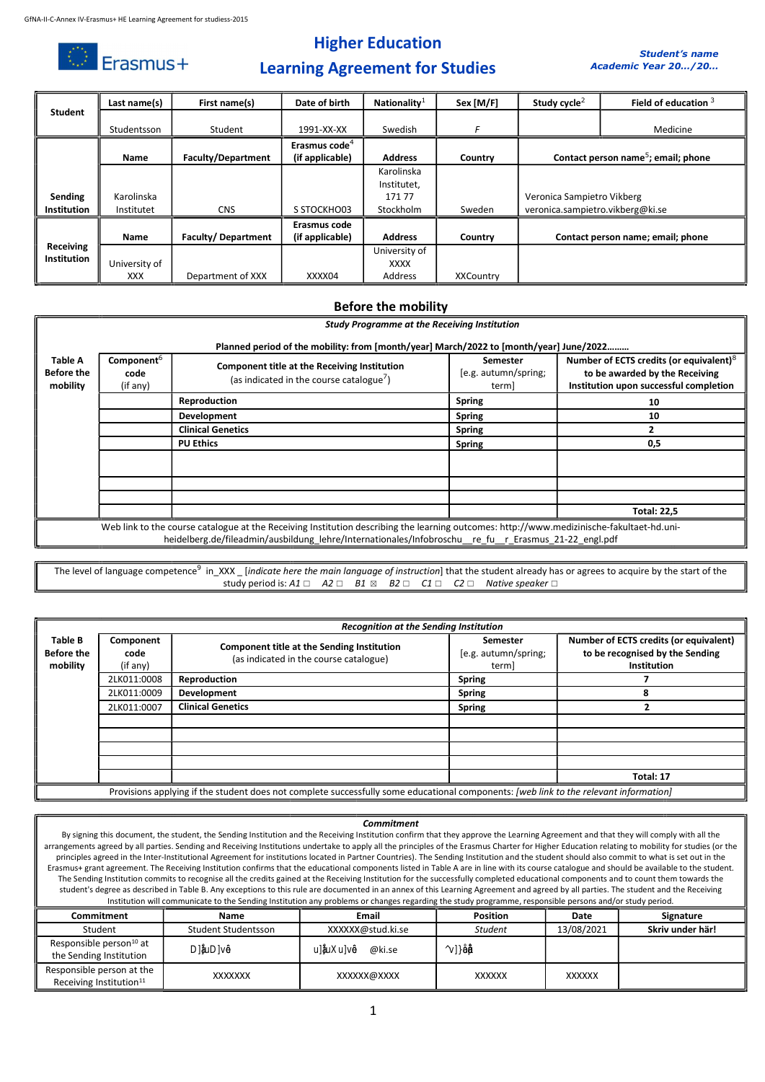$\mathbb{O}$  Erasmus+

## Higher Education



### Learning Agreement for Studies

| <b>Student</b>     | Last name(s)  | First name(s)             | Date of birth             | Nationality <sup>1</sup> | Sex [M/F] | Study cycle <sup>2</sup>         | Field of education 3                            |
|--------------------|---------------|---------------------------|---------------------------|--------------------------|-----------|----------------------------------|-------------------------------------------------|
|                    |               |                           |                           |                          |           |                                  |                                                 |
|                    | Studentsson   | Student                   | 1991-XX-XX                | Swedish                  | F         |                                  | Medicine                                        |
|                    |               |                           | Erasmus code <sup>4</sup> |                          |           |                                  |                                                 |
|                    | Name          | <b>Faculty/Department</b> | (if applicable)           | <b>Address</b>           | Country   |                                  | Contact person name <sup>5</sup> ; email; phone |
|                    |               |                           |                           | Karolinska               |           |                                  |                                                 |
|                    |               |                           |                           | Institutet,              |           |                                  |                                                 |
| Sending            | Karolinska    |                           |                           | 17177                    |           | Veronica Sampietro Vikberg       |                                                 |
| <b>Institution</b> | Institutet    | <b>CNS</b>                | S STOCKHO03               | Stockholm                | Sweden    | veronica.sampietro.vikberg@ki.se |                                                 |
|                    |               |                           | Erasmus code              |                          |           |                                  |                                                 |
|                    | Name          | Faculty/Department        | (if applicable)           | <b>Address</b>           | Country   |                                  | Contact person name; email; phone               |
| Receiving          |               |                           |                           | University of            |           |                                  |                                                 |
| Institution        | University of |                           |                           | <b>XXXX</b>              |           |                                  |                                                 |
|                    | <b>XXX</b>    | Department of XXX         | XXXX04                    | Address                  | XXCountry |                                  |                                                 |

#### Before the mobility

|                                                                                                                                                                                                                                                  | <b>Study Programme at the Receiving Institution</b>                                    |                                                                                                      |                                           |                                                                                                                                 |  |  |  |  |
|--------------------------------------------------------------------------------------------------------------------------------------------------------------------------------------------------------------------------------------------------|----------------------------------------------------------------------------------------|------------------------------------------------------------------------------------------------------|-------------------------------------------|---------------------------------------------------------------------------------------------------------------------------------|--|--|--|--|
|                                                                                                                                                                                                                                                  | Planned period of the mobility: from [month/year] March/2022 to [month/year] June/2022 |                                                                                                      |                                           |                                                                                                                                 |  |  |  |  |
| Table A<br><b>Before the</b><br>mobility                                                                                                                                                                                                         | Component <sup>6</sup><br>code<br>(if any)                                             | Component title at the Receiving Institution<br>(as indicated in the course catalogue <sup>7</sup> ) | Semester<br>[e.g. autumn/spring;<br>term] | Number of ECTS credits (or equivalent) <sup>8</sup><br>to be awarded by the Receiving<br>Institution upon successful completion |  |  |  |  |
|                                                                                                                                                                                                                                                  | 2LK011:0008                                                                            | Reproduction                                                                                         | <b>Spring</b>                             | 10                                                                                                                              |  |  |  |  |
|                                                                                                                                                                                                                                                  | 2LK011:0009                                                                            | <b>Development</b>                                                                                   | <b>Spring</b>                             | 10                                                                                                                              |  |  |  |  |
|                                                                                                                                                                                                                                                  | 2LK011:0007                                                                            | <b>Clinical Genetics</b>                                                                             | <b>Spring</b>                             |                                                                                                                                 |  |  |  |  |
|                                                                                                                                                                                                                                                  | 2LK011:0010                                                                            | <b>PU Ethics</b>                                                                                     | <b>Spring</b>                             | 0,5                                                                                                                             |  |  |  |  |
|                                                                                                                                                                                                                                                  |                                                                                        |                                                                                                      |                                           |                                                                                                                                 |  |  |  |  |
|                                                                                                                                                                                                                                                  |                                                                                        |                                                                                                      |                                           |                                                                                                                                 |  |  |  |  |
|                                                                                                                                                                                                                                                  | <b>Total: 22,5</b>                                                                     |                                                                                                      |                                           |                                                                                                                                 |  |  |  |  |
| Web link to the course catalogue at the Receiving Institution describing the learning outcomes: http://www.medizinische-fakultaet-hd.uni-<br>heidelberg.de/fileadmin/ausbildung_lehre/Internationales/Infobroschu_re_fu_r_Erasmus_21-22_engl.pdf |                                                                                        |                                                                                                      |                                           |                                                                                                                                 |  |  |  |  |

The level of language competence<sup>9</sup> in\_XXX \_ [*indicate here the main language of instruction*] that the student already has or agrees to acquire by the start of the study period is: A1  $\Box$  A2  $\Box$  B1  $\boxtimes$  B2  $\Box$  C1  $\Box$  C2  $\Box$  Native speaker  $\Box$ 

|                                          | <b>Recognition at the Sending Institution</b>                                                                                         |                                                                                             |                                           |                                                                                                 |  |  |
|------------------------------------------|---------------------------------------------------------------------------------------------------------------------------------------|---------------------------------------------------------------------------------------------|-------------------------------------------|-------------------------------------------------------------------------------------------------|--|--|
| Table B<br><b>Before the</b><br>mobility | Component<br>code<br>(if any)                                                                                                         | <b>Component title at the Sending Institution</b><br>(as indicated in the course catalogue) | Semester<br>[e.g. autumn/spring;<br>term] | Number of ECTS credits (or equivalent)<br>to be recognised by the Sending<br><b>Institution</b> |  |  |
|                                          | 2LK011:0008                                                                                                                           | Reproduction                                                                                | <b>Spring</b>                             |                                                                                                 |  |  |
|                                          | 2LK011:0009                                                                                                                           | Development                                                                                 | <b>Spring</b>                             | 8                                                                                               |  |  |
|                                          | 2LK011:0007                                                                                                                           | <b>Clinical Genetics</b>                                                                    | <b>Spring</b>                             |                                                                                                 |  |  |
|                                          |                                                                                                                                       |                                                                                             |                                           |                                                                                                 |  |  |
|                                          |                                                                                                                                       |                                                                                             |                                           |                                                                                                 |  |  |
|                                          |                                                                                                                                       |                                                                                             |                                           |                                                                                                 |  |  |
|                                          |                                                                                                                                       |                                                                                             |                                           |                                                                                                 |  |  |
|                                          |                                                                                                                                       |                                                                                             |                                           | Total: 17                                                                                       |  |  |
|                                          | Provisions applying if the student does not complete successfully some educational components: [web link to the relevant information] |                                                                                             |                                           |                                                                                                 |  |  |

#### Commitment

By signing this document, the student, the Sending Institution and the Receiving Institution confirm that they approve the Learning Agreement and that they will comply with all the arrangements agreed by all parties. Sending and Receiving Institutions undertake to apply all the principles of the Erasmus Charter for Higher Education relating to mobility for studies (or the principles agreed in the Inter-Institutional Agreement for institutions located in Partner Countries). The Sending Institution and the student should also commit to what is set out in the Erasmus+ grant agreement. The Receiving Institution confirms that the educational components listed in Table A are in line with its course catalogue and should be available to the student. The Sending Institution commits to recognise all the credits gained at the Receiving Institution for the successfully completed educational components and to count them towards the student's degree as described in Table B. Any exceptions to this rule are documented in an annex of this Learning Agreement and agreed by all parties. The student and the Receiving Institution will communicate to the Sending Institution any problems or changes regarding the study programme, responsible persons and/or study period.

| Commitment                                                       | <b>Name</b>         | Email              | <b>Position</b> | Date          | Signature        |
|------------------------------------------------------------------|---------------------|--------------------|-----------------|---------------|------------------|
| Student                                                          | Student Studentsson | XXXXX@stud.ki.se   | <b>Student</b>  | 13/08/2021    | Skriv under här! |
| Responsible person <sup>10</sup> at<br>the Sending Institution   | Miriam Mints        | miriam.mints@ki.se | Senior lecturer |               |                  |
| Responsible person at the<br>Receiving Institution <sup>11</sup> | <b>XXXXXXX</b>      | XXXXXX@XXXX        | <b>XXXXXX</b>   | <b>XXXXXX</b> |                  |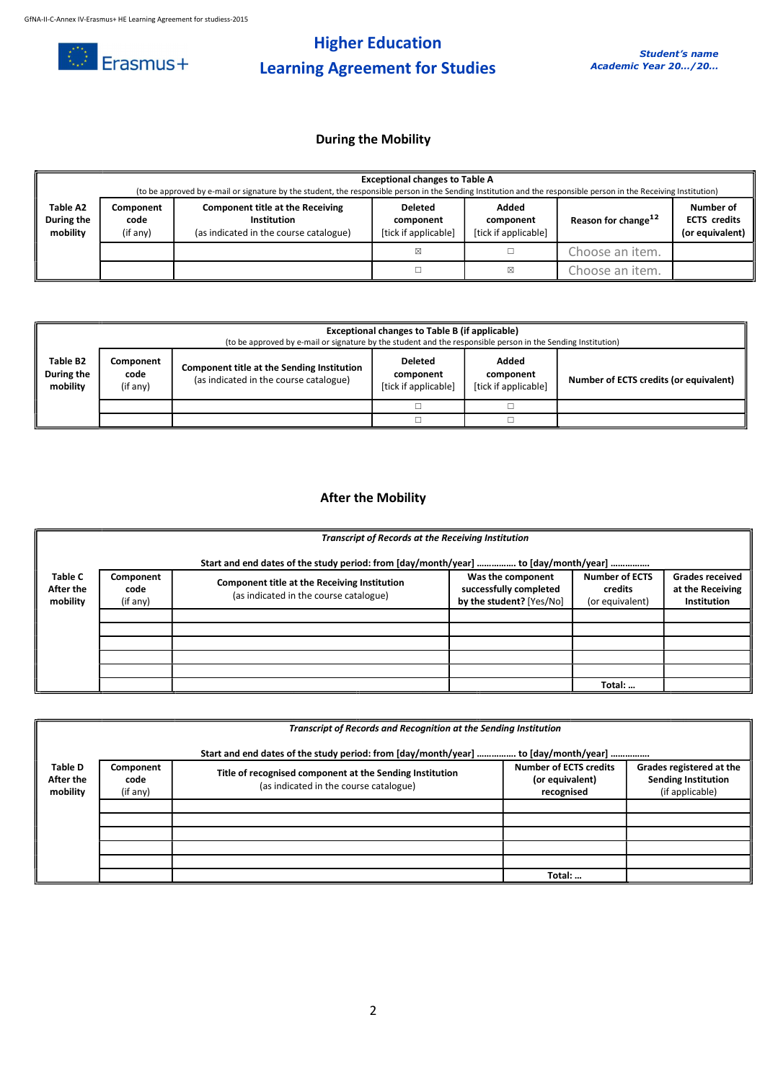

# Higher Education Learning Agreement for Studies

## During the Mobility

|                                    | <b>Exceptional changes to Table A</b><br>(to be approved by e-mail or signature by the student, the responsible person in the Sending Institution and the responsible person in the Receiving Institution) |                                                                                                  |                                                     |                                            |                                 |                                                     |  |
|------------------------------------|------------------------------------------------------------------------------------------------------------------------------------------------------------------------------------------------------------|--------------------------------------------------------------------------------------------------|-----------------------------------------------------|--------------------------------------------|---------------------------------|-----------------------------------------------------|--|
| Table A2<br>During the<br>mobility | Component<br>code<br>(if any)                                                                                                                                                                              | <b>Component title at the Receiving</b><br>Institution<br>(as indicated in the course catalogue) | <b>Deleted</b><br>component<br>[tick if applicable] | Added<br>component<br>[tick if applicable] | Reason for change <sup>12</sup> | Number of<br><b>ECTS</b> credits<br>(or equivalent) |  |
|                                    |                                                                                                                                                                                                            |                                                                                                  | ⊠                                                   |                                            | Choose an item.                 |                                                     |  |
|                                    |                                                                                                                                                                                                            |                                                                                                  |                                                     | X                                          | Choose an item.                 |                                                     |  |

|                                                                                                                                                                                                                                                                         | Exceptional changes to Table B (if applicable)<br>(to be approved by e-mail or signature by the student and the responsible person in the Sending Institution) |                                        |  |  |  |  |  |
|-------------------------------------------------------------------------------------------------------------------------------------------------------------------------------------------------------------------------------------------------------------------------|----------------------------------------------------------------------------------------------------------------------------------------------------------------|----------------------------------------|--|--|--|--|--|
| Table B2<br>Added<br><b>Deleted</b><br>Component<br><b>Component title at the Sending Institution</b><br>During the<br>code<br>component<br>component<br>(as indicated in the course catalogue)<br>mobility<br>[tick if applicable]<br>(if any)<br>[tick if applicable] |                                                                                                                                                                | Number of ECTS credits (or equivalent) |  |  |  |  |  |
|                                                                                                                                                                                                                                                                         |                                                                                                                                                                |                                        |  |  |  |  |  |
|                                                                                                                                                                                                                                                                         |                                                                                                                                                                |                                        |  |  |  |  |  |

## After the Mobility

|                                         | <b>Transcript of Records at the Receiving Institution</b>                           |                                                                                        |                                                                         |                                                     |                                                           |  |  |
|-----------------------------------------|-------------------------------------------------------------------------------------|----------------------------------------------------------------------------------------|-------------------------------------------------------------------------|-----------------------------------------------------|-----------------------------------------------------------|--|--|
|                                         | Start and end dates of the study period: from [day/month/year]  to [day/month/year] |                                                                                        |                                                                         |                                                     |                                                           |  |  |
| <b>Table C</b><br>After the<br>mobility | Component<br>code<br>(if any)                                                       | Component title at the Receiving Institution<br>(as indicated in the course catalogue) | Was the component<br>successfully completed<br>by the student? [Yes/No] | <b>Number of ECTS</b><br>credits<br>(or equivalent) | <b>Grades received</b><br>at the Receiving<br>Institution |  |  |
|                                         |                                                                                     |                                                                                        |                                                                         |                                                     |                                                           |  |  |
|                                         |                                                                                     |                                                                                        |                                                                         |                                                     |                                                           |  |  |
|                                         |                                                                                     |                                                                                        |                                                                         |                                                     |                                                           |  |  |
|                                         |                                                                                     |                                                                                        |                                                                         |                                                     |                                                           |  |  |
|                                         |                                                                                     |                                                                                        |                                                                         | Total:                                              |                                                           |  |  |

| Transcript of Records and Recognition at the Sending Institution<br>Start and end dates of the study period: from [day/month/year]  to [day/month/year] |                               |                                                                                                    |                                                                |                                                                           |  |  |
|---------------------------------------------------------------------------------------------------------------------------------------------------------|-------------------------------|----------------------------------------------------------------------------------------------------|----------------------------------------------------------------|---------------------------------------------------------------------------|--|--|
| <b>Table D</b><br>After the<br>mobility                                                                                                                 | Component<br>code<br>(if any) | Title of recognised component at the Sending Institution<br>(as indicated in the course catalogue) | <b>Number of ECTS credits</b><br>(or equivalent)<br>recognised | Grades registered at the<br><b>Sending Institution</b><br>(if applicable) |  |  |
|                                                                                                                                                         |                               |                                                                                                    |                                                                |                                                                           |  |  |
|                                                                                                                                                         |                               |                                                                                                    |                                                                |                                                                           |  |  |
|                                                                                                                                                         |                               |                                                                                                    | Total:                                                         |                                                                           |  |  |